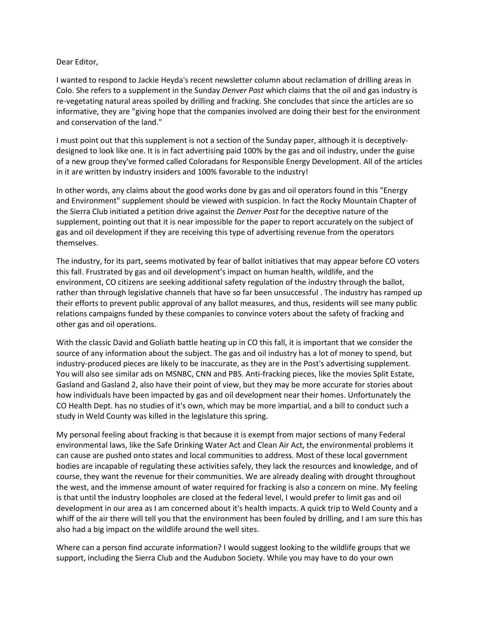## Dear Editor,

I wanted to respond to Jackie Heyda's recent newsletter column about reclamation of drilling areas in Colo. She refers to a supplement in the Sunday *Denver Post* which claims that the oil and gas industry is re-vegetating natural areas spoiled by drilling and fracking. She concludes that since the articles are so informative, they are "giving hope that the companies involved are doing their best for the environment and conservation of the land."

I must point out that this supplement is not a section of the Sunday paper, although it is deceptivelydesigned to look like one. It is in fact advertising paid 100% by the gas and oil industry, under the guise of a new group they've formed called Coloradans for Responsible Energy Development. All of the articles in it are written by industry insiders and 100% favorable to the industry!

In other words, any claims about the good works done by gas and oil operators found in this "Energy and Environment" supplement should be viewed with suspicion. In fact the Rocky Mountain Chapter of the Sierra Club initiated a petition drive against the *Denver Post* for the deceptive nature of the supplement, pointing out that it is near impossible for the paper to report accurately on the subject of gas and oil development if they are receiving this type of advertising revenue from the operators themselves.

The industry, for its part, seems motivated by fear of ballot initiatives that may appear before CO voters this fall. Frustrated by gas and oil development's impact on human health, wildlife, and the environment, CO citizens are seeking additional safety regulation of the industry through the ballot, rather than through legislative channels that have so far been unsuccessful . The industry has ramped up their efforts to prevent public approval of any ballot measures, and thus, residents will see many public relations campaigns funded by these companies to convince voters about the safety of fracking and other gas and oil operations.

With the classic David and Goliath battle heating up in CO this fall, it is important that we consider the source of any information about the subject. The gas and oil industry has a lot of money to spend, but industry-produced pieces are likely to be inaccurate, as they are in the Post's advertising supplement. You will also see similar ads on MSNBC, CNN and PBS. Anti-fracking pieces, like the movies Split Estate, Gasland and Gasland 2, also have their point of view, but they may be more accurate for stories about how individuals have been impacted by gas and oil development near their homes. Unfortunately the CO Health Dept. has no studies of it's own, which may be more impartial, and a bill to conduct such a study in Weld County was killed in the legislature this spring.

My personal feeling about fracking is that because it is exempt from major sections of many Federal environmental laws, like the Safe Drinking Water Act and Clean Air Act, the environmental problems it can cause are pushed onto states and local communities to address. Most of these local government bodies are incapable of regulating these activities safely, they lack the resources and knowledge, and of course, they want the revenue for their communities. We are already dealing with drought throughout the west, and the immense amount of water required for fracking is also a concern on mine. My feeling is that until the industry loopholes are closed at the federal level, I would prefer to limit gas and oil development in our area as I am concerned about it's health impacts. A quick trip to Weld County and a whiff of the air there will tell you that the environment has been fouled by drilling, and I am sure this has also had a big impact on the wildlife around the well sites.

Where can a person find accurate information? I would suggest looking to the wildlife groups that we support, including the Sierra Club and the Audubon Society. While you may have to do your own